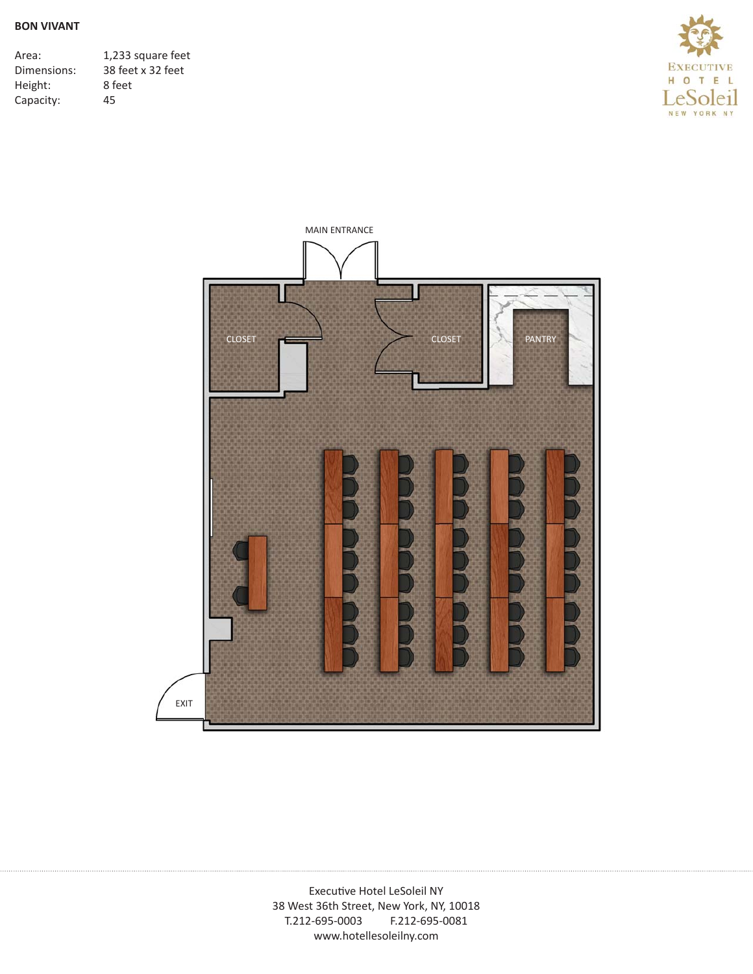Area: 1,233 square feet<br>Dimensions: 38 feet x 32 feet 38 feet x 32 feet Height: 8 feet Capacity: 45



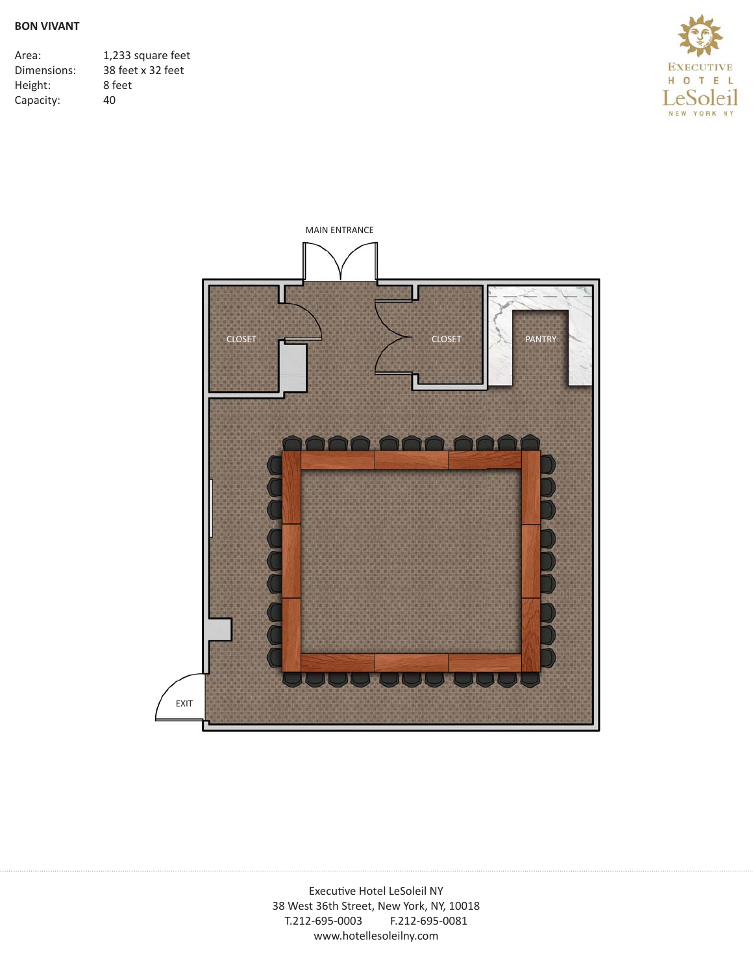| Area:       | 1,233 square feet |
|-------------|-------------------|
| Dimensions: | 38 feet x 32 feet |
| Height:     | 8 feet            |
| Capacity:   | 40                |



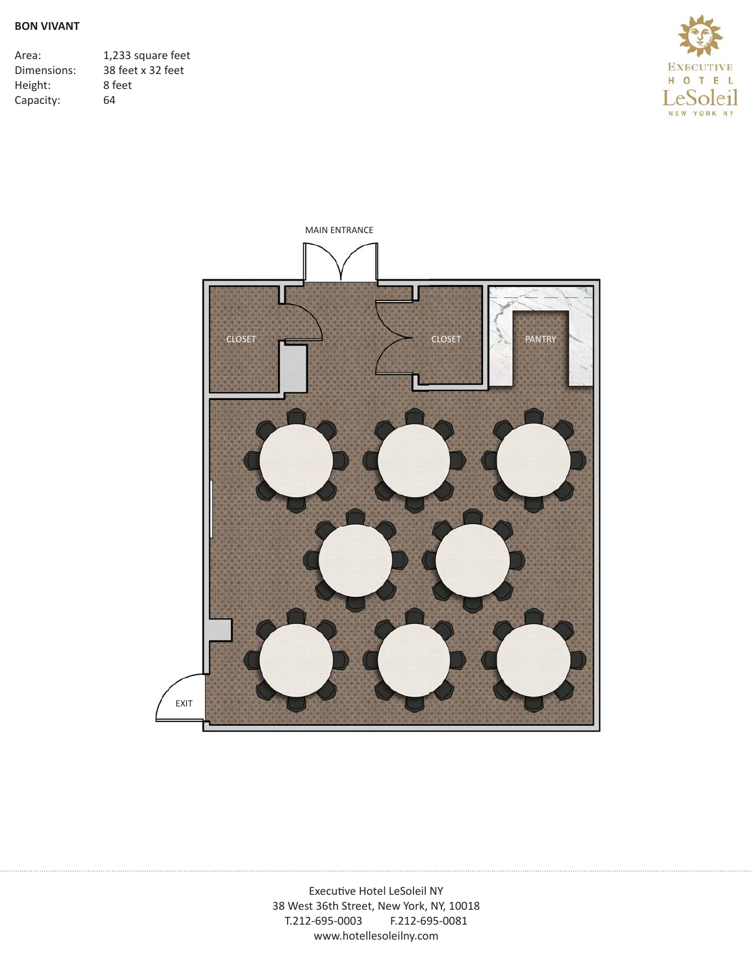| Area:       | 1,233 square feet |
|-------------|-------------------|
| Dimensions: | 38 feet x 32 feet |
| Height:     | 8 feet            |
| Capacity:   | 64                |



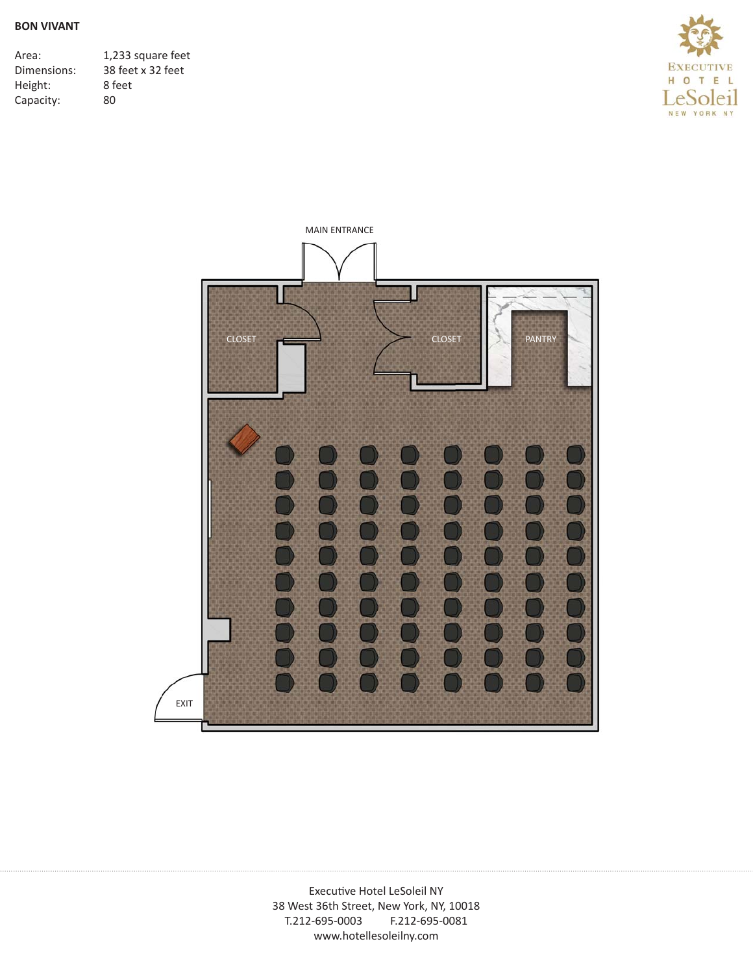| Area:       | 1,233 square feet |
|-------------|-------------------|
| Dimensions: | 38 feet x 32 feet |
| Height:     | 8 feet            |
| Capacity:   | 80                |



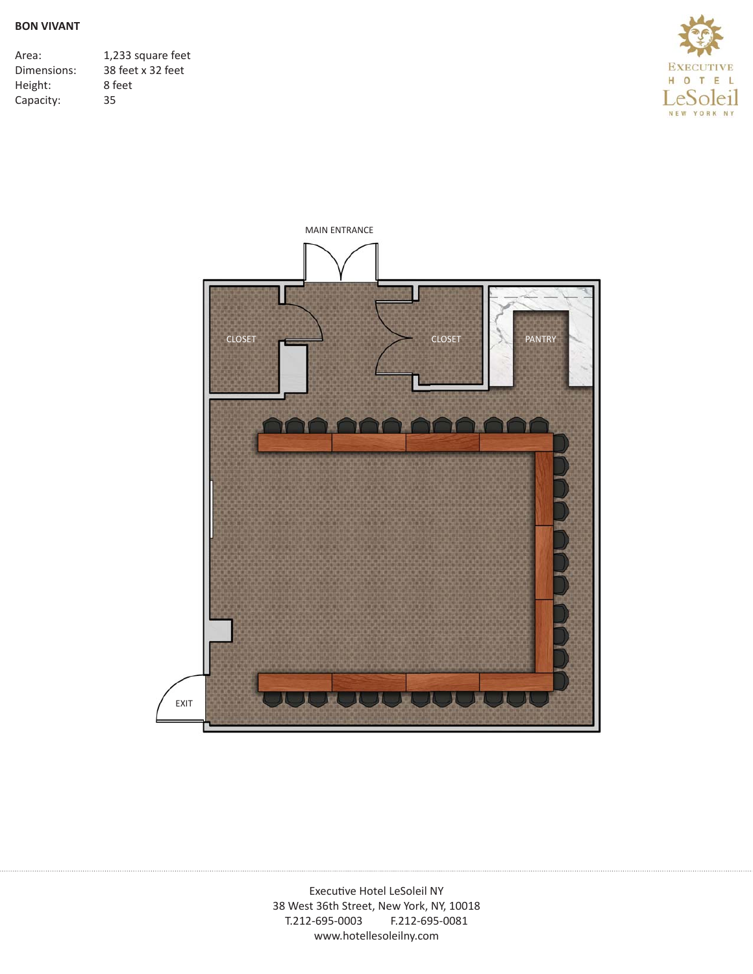| Area:       | 1,233 square feet |
|-------------|-------------------|
| Dimensions: | 38 feet x 32 feet |
| Height:     | 8 feet            |
| Capacity:   | 35                |